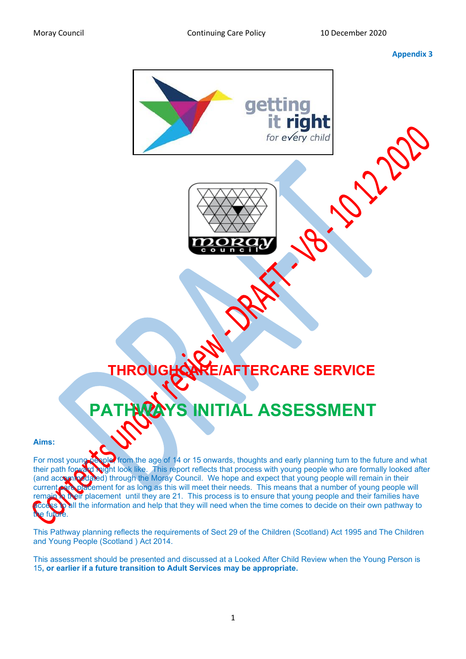## **Appendix 3**



## **THROUGHCARE/AFTERCARE SERVICE**

## **PATHAL ASSESSMENT**

## **Aims:**

For most young people, from the age of 14 or 15 onwards, thoughts and early planning turn to the future and what their path forward might look like. This report reflects that process with young people who are formally looked after (and accommodated) through the Moray Council. We hope and expect that young people will remain in their current care placement for as long as this will meet their needs. This means that a number of young people will remain in their placement until they are 21. This process is to ensure that young people and their families have all the information and help that they will need when the time comes to decide on their own pathway to the future.

This Pathway planning reflects the requirements of Sect 29 of the Children (Scotland) Act 1995 and The Children and Young People (Scotland ) Act 2014.

This assessment should be presented and discussed at a Looked After Child Review when the Young Person is 15**, or earlier if a future transition to Adult Services may be appropriate.**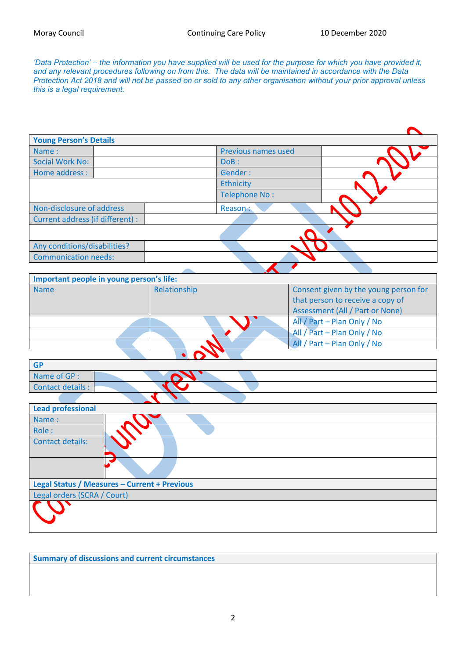*'Data Protection' – the information you have supplied will be used for the purpose for which you have provided it, and any relevant procedures following on from this. The data will be maintained in accordance with the Data Protection Act 2018 and will not be passed on or sold to any other organisation without your prior approval unless this is a legal requirement.*

| <b>Young Person's Details</b>            |              |                      |                                        |  |
|------------------------------------------|--------------|----------------------|----------------------------------------|--|
| Name:                                    |              | Previous names used  |                                        |  |
| Social Work No:                          | DoB:         |                      |                                        |  |
| Home address :                           | Gender:      |                      |                                        |  |
|                                          | Ethnicity    |                      |                                        |  |
|                                          |              | <b>Telephone No:</b> |                                        |  |
| Non-disclosure of address                | Reason:      |                      |                                        |  |
| Current address (if different) :         |              |                      |                                        |  |
|                                          |              |                      |                                        |  |
| Any conditions/disabilities?             |              |                      |                                        |  |
| <b>Communication needs:</b>              |              |                      |                                        |  |
|                                          |              |                      |                                        |  |
| Important people in young person's life: |              |                      |                                        |  |
| <b>Name</b>                              | Relationship |                      | Consent given by the young person for  |  |
|                                          |              |                      | that person to receive a copy of       |  |
|                                          |              |                      | <b>Assessment (All / Part or None)</b> |  |
|                                          |              |                      | All / Part - Plan Only / No            |  |
|                                          |              |                      | All / Part - Plan Only / No            |  |
|                                          |              |                      | All / Part - Plan Only / No            |  |
|                                          |              |                      |                                        |  |
| <b>GP</b>                                |              |                      |                                        |  |
| Name of GP :                             |              |                      |                                        |  |
| <b>Contact details:</b>                  |              |                      |                                        |  |
|                                          |              |                      |                                        |  |
| <b>Lead professional</b>                 |              |                      |                                        |  |
| Name:                                    |              |                      |                                        |  |
| Role:                                    |              |                      |                                        |  |
| <b>Contact details:</b>                  |              |                      |                                        |  |

| Legal Status / Measures - Current + Previous |  |  |  |  |
|----------------------------------------------|--|--|--|--|
| Legal orders (SCRA / Court)                  |  |  |  |  |
|                                              |  |  |  |  |

**Summary of discussions and current circumstances**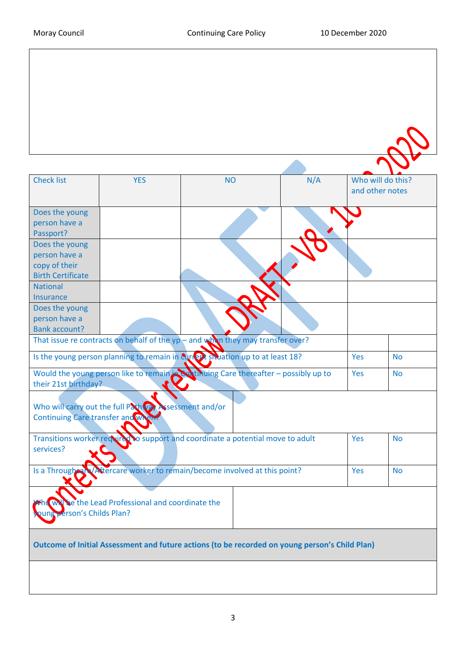| <b>Check list</b>                                                                | <b>YES</b>                                             | <b>NO</b>                                                                                      | N/A |                 | Who will do this? |
|----------------------------------------------------------------------------------|--------------------------------------------------------|------------------------------------------------------------------------------------------------|-----|-----------------|-------------------|
|                                                                                  |                                                        |                                                                                                |     | and other notes |                   |
|                                                                                  |                                                        |                                                                                                |     |                 |                   |
| Does the young                                                                   |                                                        |                                                                                                |     |                 |                   |
| person have a<br>Passport?                                                       |                                                        |                                                                                                |     |                 |                   |
| Does the young                                                                   |                                                        |                                                                                                |     |                 |                   |
| person have a                                                                    |                                                        |                                                                                                |     |                 |                   |
| copy of their                                                                    |                                                        |                                                                                                |     |                 |                   |
| <b>Birth Certificate</b>                                                         |                                                        |                                                                                                |     |                 |                   |
| <b>National</b>                                                                  |                                                        |                                                                                                |     |                 |                   |
| Insurance                                                                        |                                                        |                                                                                                |     |                 |                   |
| Does the young                                                                   |                                                        |                                                                                                |     |                 |                   |
| person have a                                                                    |                                                        |                                                                                                |     |                 |                   |
| <b>Bank account?</b>                                                             |                                                        |                                                                                                |     |                 |                   |
| That issue re contracts on behalf of the $yp$ – and when they may transfer over? |                                                        |                                                                                                |     |                 |                   |
|                                                                                  |                                                        | Is the young person planning to remain in current situation up to at least 18?                 |     | Yes             | <b>No</b>         |
|                                                                                  |                                                        | Would the young person like to remain in Continuing Care thereafter - possibly up to           |     | Yes             | <b>No</b>         |
| their 21st birthday?                                                             |                                                        |                                                                                                |     |                 |                   |
|                                                                                  |                                                        |                                                                                                |     |                 |                   |
|                                                                                  | Who will carry out the full Path vay Assessment and/or |                                                                                                |     |                 |                   |
| <b>Continuing Care transfer and WA</b>                                           |                                                        |                                                                                                |     |                 |                   |
|                                                                                  |                                                        | Transitions worker required to support and coordinate a potential move to adult                |     | Yes             | <b>No</b>         |
| services?                                                                        |                                                        |                                                                                                |     |                 |                   |
|                                                                                  |                                                        |                                                                                                |     |                 |                   |
|                                                                                  |                                                        | Is a Through and Attercare worker to remain/become involved at this point?                     |     | Yes             | <b>No</b>         |
|                                                                                  |                                                        |                                                                                                |     |                 |                   |
|                                                                                  |                                                        |                                                                                                |     |                 |                   |
|                                                                                  | be the Lead Professional and coordinate the            |                                                                                                |     |                 |                   |
| erson's Childs Plan?                                                             |                                                        |                                                                                                |     |                 |                   |
|                                                                                  |                                                        |                                                                                                |     |                 |                   |
|                                                                                  |                                                        |                                                                                                |     |                 |                   |
|                                                                                  |                                                        | Outcome of Initial Assessment and future actions (to be recorded on young person's Child Plan) |     |                 |                   |
|                                                                                  |                                                        |                                                                                                |     |                 |                   |
|                                                                                  |                                                        |                                                                                                |     |                 |                   |
|                                                                                  |                                                        |                                                                                                |     |                 |                   |